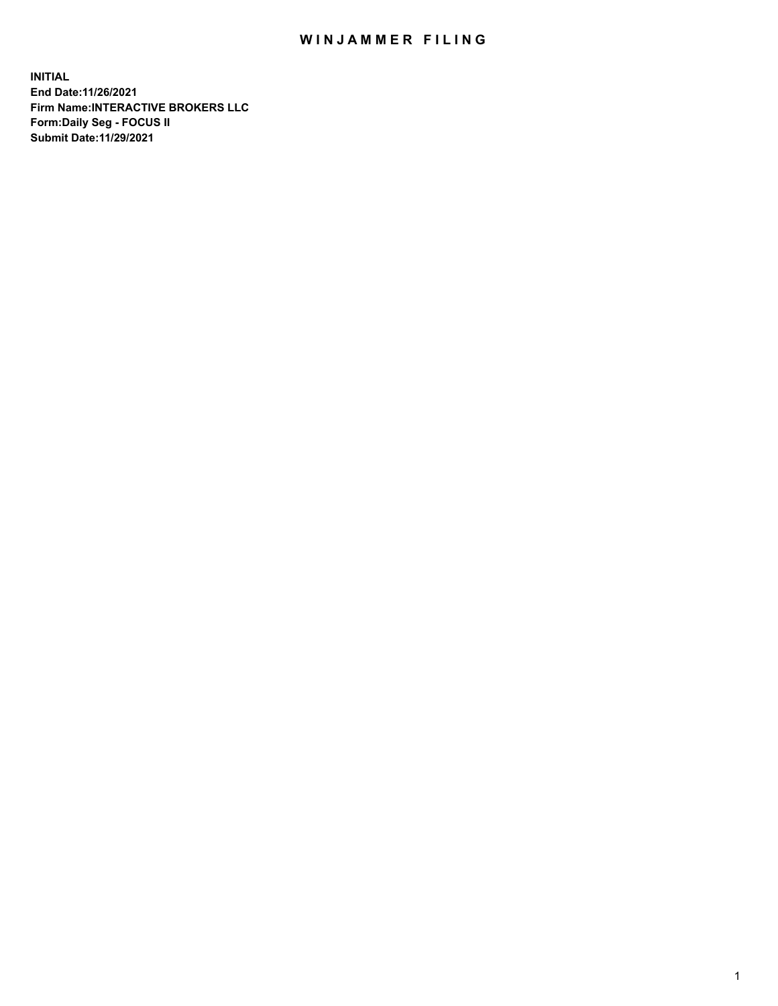## WIN JAMMER FILING

**INITIAL End Date:11/26/2021 Firm Name:INTERACTIVE BROKERS LLC Form:Daily Seg - FOCUS II Submit Date:11/29/2021**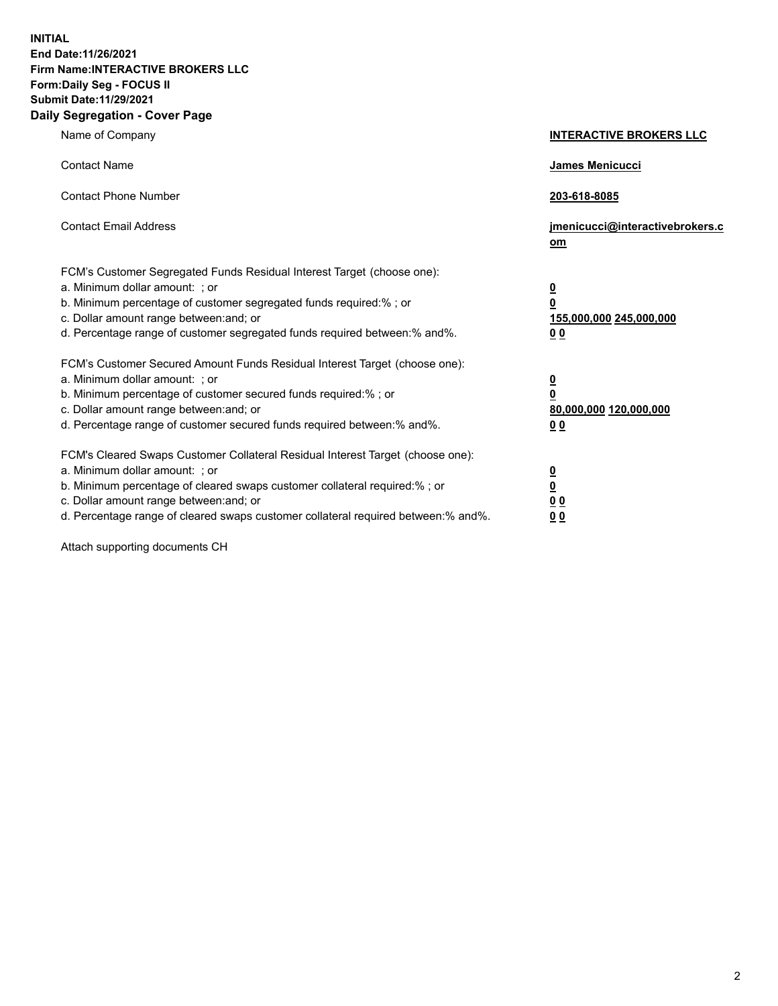**INITIAL End Date:11/26/2021 Firm Name:INTERACTIVE BROKERS LLC Form:Daily Seg - FOCUS II Submit Date:11/29/2021 Daily Segregation - Cover Page**

| Name of Company                                                                                                                                                                                                                                                                                                                | <b>INTERACTIVE BROKERS LLC</b>                                              |
|--------------------------------------------------------------------------------------------------------------------------------------------------------------------------------------------------------------------------------------------------------------------------------------------------------------------------------|-----------------------------------------------------------------------------|
| <b>Contact Name</b>                                                                                                                                                                                                                                                                                                            | James Menicucci                                                             |
| <b>Contact Phone Number</b>                                                                                                                                                                                                                                                                                                    | 203-618-8085                                                                |
| <b>Contact Email Address</b>                                                                                                                                                                                                                                                                                                   | jmenicucci@interactivebrokers.c<br>om                                       |
| FCM's Customer Segregated Funds Residual Interest Target (choose one):<br>a. Minimum dollar amount: ; or<br>b. Minimum percentage of customer segregated funds required:% ; or<br>c. Dollar amount range between: and; or<br>d. Percentage range of customer segregated funds required between:% and%.                         | <u>0</u><br>$\overline{\mathbf{0}}$<br>155,000,000 245,000,000<br><u>00</u> |
| FCM's Customer Secured Amount Funds Residual Interest Target (choose one):<br>a. Minimum dollar amount: : or<br>b. Minimum percentage of customer secured funds required:%; or<br>c. Dollar amount range between: and; or<br>d. Percentage range of customer secured funds required between:% and%.                            | $\frac{0}{0}$<br>80,000,000 120,000,000<br><u>00</u>                        |
| FCM's Cleared Swaps Customer Collateral Residual Interest Target (choose one):<br>a. Minimum dollar amount: ; or<br>b. Minimum percentage of cleared swaps customer collateral required:% ; or<br>c. Dollar amount range between: and; or<br>d. Percentage range of cleared swaps customer collateral required between:% and%. | $\frac{0}{0}$<br>$\underline{0}$ $\underline{0}$<br>0 <sub>0</sub>          |

Attach supporting documents CH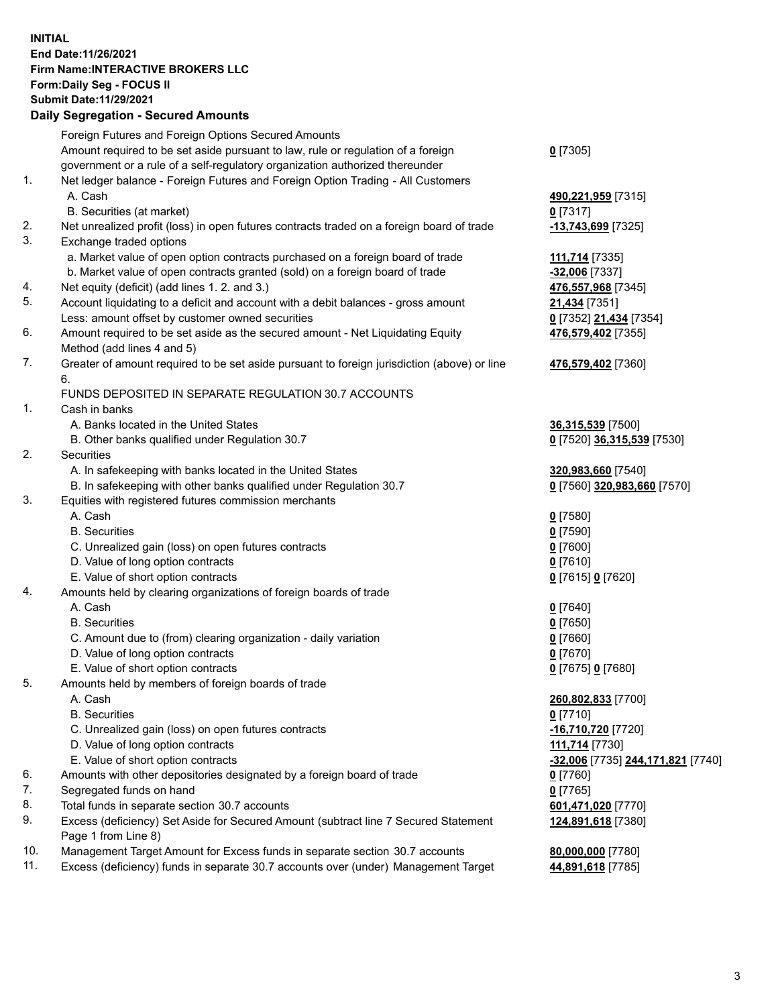## **INITIAL End Date:11/26/2021 Firm Name:INTERACTIVE BROKERS LLC Form:Daily Seg - FOCUS II Submit Date:11/29/2021 Daily Segregation - Secured Amounts**

|                | Daily Jegregation - Jeculed Aniounts                                                                       |                                                |
|----------------|------------------------------------------------------------------------------------------------------------|------------------------------------------------|
|                | Foreign Futures and Foreign Options Secured Amounts                                                        |                                                |
|                | Amount required to be set aside pursuant to law, rule or regulation of a foreign                           | $0$ [7305]                                     |
|                | government or a rule of a self-regulatory organization authorized thereunder                               |                                                |
| $\mathbf{1}$ . | Net ledger balance - Foreign Futures and Foreign Option Trading - All Customers                            |                                                |
|                | A. Cash                                                                                                    | 490,221,959 [7315]                             |
|                | B. Securities (at market)                                                                                  | 0 [7317]                                       |
| 2.             | Net unrealized profit (loss) in open futures contracts traded on a foreign board of trade                  | -13,743,699 [7325]                             |
| 3.             | Exchange traded options                                                                                    |                                                |
|                | a. Market value of open option contracts purchased on a foreign board of trade                             | 111,714 [7335]                                 |
|                | b. Market value of open contracts granted (sold) on a foreign board of trade                               | -32,006 [7337]                                 |
| 4.             | Net equity (deficit) (add lines 1. 2. and 3.)                                                              | 476,557,968 [7345]                             |
| 5.             | Account liquidating to a deficit and account with a debit balances - gross amount                          | 21,434 [7351]                                  |
|                | Less: amount offset by customer owned securities                                                           | 0 [7352] 21,434 [7354]                         |
| 6.             | Amount required to be set aside as the secured amount - Net Liquidating Equity                             | 476,579,402 [7355]                             |
|                | Method (add lines 4 and 5)                                                                                 |                                                |
| 7.             | Greater of amount required to be set aside pursuant to foreign jurisdiction (above) or line                | 476,579,402 [7360]                             |
|                | 6.                                                                                                         |                                                |
|                | FUNDS DEPOSITED IN SEPARATE REGULATION 30.7 ACCOUNTS                                                       |                                                |
| 1.             | Cash in banks                                                                                              |                                                |
|                | A. Banks located in the United States                                                                      | 36,315,539 [7500]                              |
|                | B. Other banks qualified under Regulation 30.7                                                             | 0 [7520] 36,315,539 [7530]                     |
| 2.             | Securities                                                                                                 |                                                |
|                | A. In safekeeping with banks located in the United States                                                  | 320,983,660 [7540]                             |
|                | B. In safekeeping with other banks qualified under Regulation 30.7                                         | 0 [7560] 320,983,660 [7570]                    |
| 3.             | Equities with registered futures commission merchants                                                      |                                                |
|                | A. Cash                                                                                                    | $0$ [7580]                                     |
|                | <b>B.</b> Securities                                                                                       | $0$ [7590]                                     |
|                | C. Unrealized gain (loss) on open futures contracts                                                        | $0$ [7600]                                     |
|                | D. Value of long option contracts                                                                          | $0$ [7610]                                     |
|                | E. Value of short option contracts                                                                         | 0 [7615] 0 [7620]                              |
| 4.             | Amounts held by clearing organizations of foreign boards of trade                                          |                                                |
|                | A. Cash                                                                                                    | $Q$ [7640]                                     |
|                | <b>B.</b> Securities                                                                                       | $0$ [7650]                                     |
|                | C. Amount due to (from) clearing organization - daily variation                                            | $0$ [7660]                                     |
|                | D. Value of long option contracts                                                                          | $0$ [7670]                                     |
|                | E. Value of short option contracts                                                                         | 0 [7675] 0 [7680]                              |
| 5.             | Amounts held by members of foreign boards of trade                                                         |                                                |
|                | A. Cash                                                                                                    | 260,802,833 [7700]                             |
|                | <b>B.</b> Securities                                                                                       | $0$ [7710]                                     |
|                | C. Unrealized gain (loss) on open futures contracts                                                        | -16,710,720 [7720]                             |
|                | D. Value of long option contracts                                                                          | 111,714 [7730]                                 |
|                | E. Value of short option contracts                                                                         | <mark>-32,006</mark> [7735] 244,171,821 [7740] |
| 6.             | Amounts with other depositories designated by a foreign board of trade                                     | $0$ [7760]                                     |
| 7.<br>8.       | Segregated funds on hand                                                                                   | $0$ [7765]                                     |
|                | Total funds in separate section 30.7 accounts                                                              | 601,471,020 [7770]                             |
| 9.             | Excess (deficiency) Set Aside for Secured Amount (subtract line 7 Secured Statement<br>Page 1 from Line 8) | 124,891,618 [7380]                             |
| 10.            | Management Target Amount for Excess funds in separate section 30.7 accounts                                | 80,000,000 [7780]                              |
| 11.            | Excess (deficiency) funds in separate 30.7 accounts over (under) Management Target                         | 44,891,618 [7785]                              |
|                |                                                                                                            |                                                |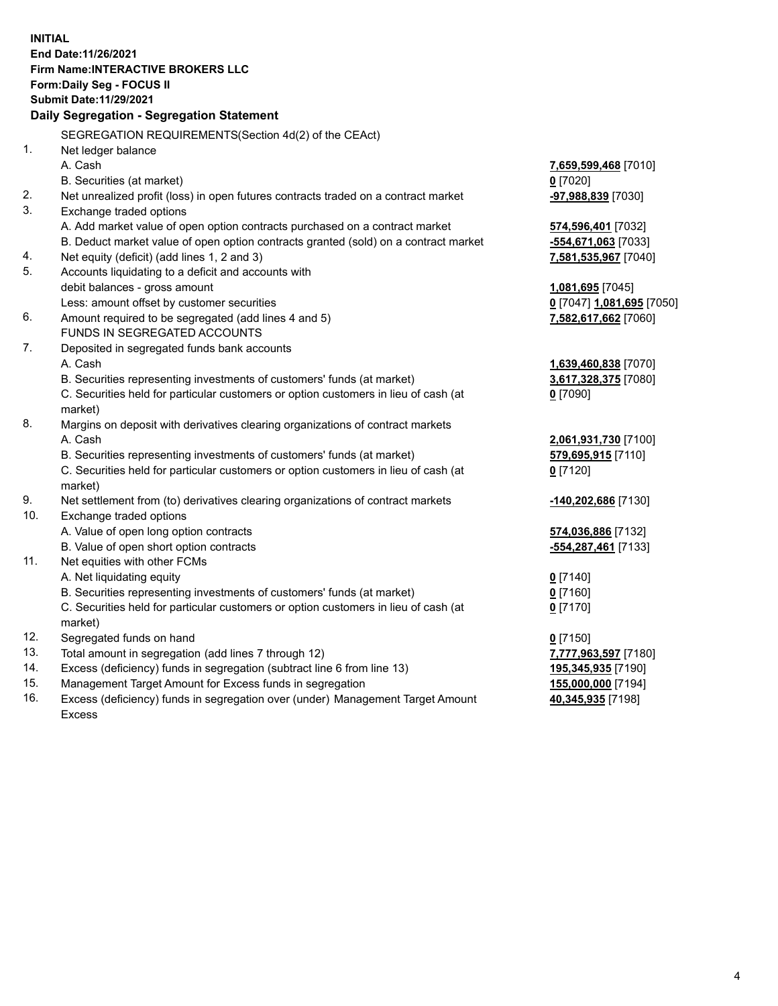**INITIAL End Date:11/26/2021 Firm Name:INTERACTIVE BROKERS LLC Form:Daily Seg - FOCUS II Submit Date:11/29/2021 Daily Segregation - Segregation Statement** SEGREGATION REQUIREMENTS(Section 4d(2) of the CEAct) 1. Net ledger balance A. Cash **7,659,599,468** [7010] B. Securities (at market) **0** [7020] 2. Net unrealized profit (loss) in open futures contracts traded on a contract market **-97,988,839** [7030] 3. Exchange traded options A. Add market value of open option contracts purchased on a contract market **574,596,401** [7032] B. Deduct market value of open option contracts granted (sold) on a contract market **-554,671,063** [7033] 4. Net equity (deficit) (add lines 1, 2 and 3) **7,581,535,967** [7040] 5. Accounts liquidating to a deficit and accounts with debit balances - gross amount **1,081,695** [7045] Less: amount offset by customer securities **0** [7047] **1,081,695** [7050] 6. Amount required to be segregated (add lines 4 and 5) **7,582,617,662** [7060] FUNDS IN SEGREGATED ACCOUNTS 7. Deposited in segregated funds bank accounts A. Cash **1,639,460,838** [7070] B. Securities representing investments of customers' funds (at market) **3,617,328,375** [7080] C. Securities held for particular customers or option customers in lieu of cash (at market) **0** [7090] 8. Margins on deposit with derivatives clearing organizations of contract markets A. Cash **2,061,931,730** [7100] B. Securities representing investments of customers' funds (at market) **579,695,915** [7110] C. Securities held for particular customers or option customers in lieu of cash (at market) **0** [7120] 9. Net settlement from (to) derivatives clearing organizations of contract markets **-140,202,686** [7130] 10. Exchange traded options A. Value of open long option contracts **574,036,886** [7132] B. Value of open short option contracts **-554,287,461** [7133] 11. Net equities with other FCMs A. Net liquidating equity **0** [7140] B. Securities representing investments of customers' funds (at market) **0** [7160] C. Securities held for particular customers or option customers in lieu of cash (at market) **0** [7170] 12. Segregated funds on hand **0** [7150] 13. Total amount in segregation (add lines 7 through 12) **7,777,963,597** [7180] 14. Excess (deficiency) funds in segregation (subtract line 6 from line 13) **195,345,935** [7190] 15. Management Target Amount for Excess funds in segregation **155,000,000** [7194] 16. Excess (deficiency) funds in segregation over (under) Management Target Amount **40,345,935** [7198]

Excess